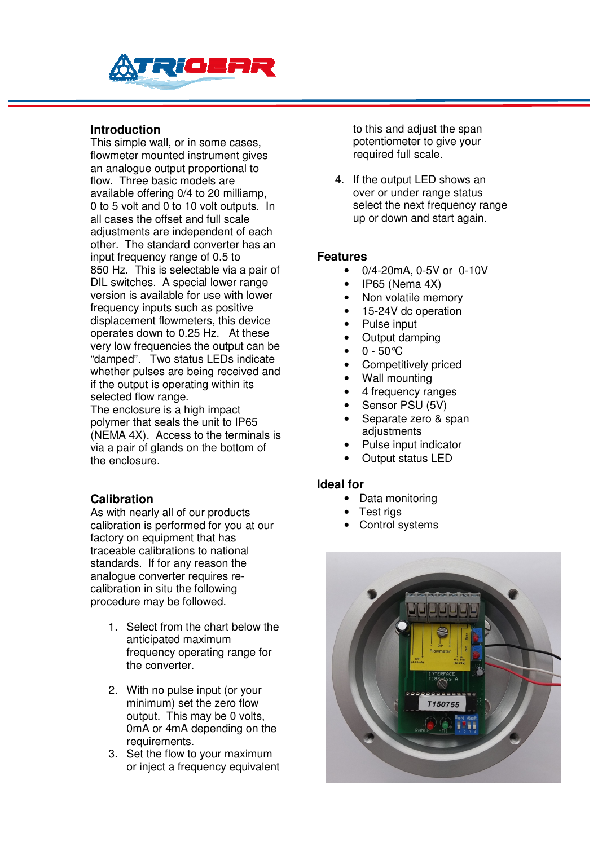

## **Introduction**

This simple wall, or in some cases, flowmeter mounted instrument gives an analogue output proportional to flow. Three basic models are available offering 0/4 to 20 milliamp, 0 to 5 volt and 0 to 10 volt outputs. In all cases the offset and full scale adjustments are independent of each other. The standard converter has an input frequency range of 0.5 to 850 Hz. This is selectable via a pair of DIL switches. A special lower range version is available for use with lower frequency inputs such as positive displacement flowmeters, this device operates down to 0.25 Hz. At these very low frequencies the output can be "damped". Two status LEDs indicate whether pulses are being received and if the output is operating within its selected flow range.

The enclosure is a high impact polymer that seals the unit to IP65 (NEMA 4X). Access to the terminals is via a pair of glands on the bottom of the enclosure.

#### **Calibration**

As with nearly all of our products calibration is performed for you at our factory on equipment that has traceable calibrations to national standards. If for any reason the analogue converter requires recalibration in situ the following procedure may be followed.

- 1. Select from the chart below the anticipated maximum frequency operating range for the converter.
- 2. With no pulse input (or your minimum) set the zero flow output. This may be 0 volts, 0mA or 4mA depending on the requirements.
- 3. Set the flow to your maximum or inject a frequency equivalent

to this and adjust the span potentiometer to give your required full scale.

4. If the output LED shows an over or under range status select the next frequency range up or down and start again.

#### **Features**

- 0/4-20mA, 0-5V or 0-10V
- IP65 (Nema 4X)
- Non volatile memory
- 15-24V dc operation
- Pulse input
- Output damping
- $\bullet$  0 50 °C
- Competitively priced
- Wall mounting
- 4 frequency ranges
- Sensor PSU (5V)
- Separate zero & span adjustments
- Pulse input indicator
- Output status LED

#### **Ideal for**

- Data monitoring
- Test rigs
- Control systems